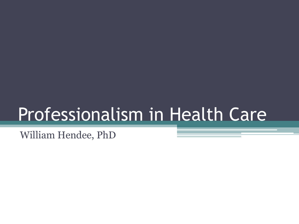# Professionalism in Health Care

William Hendee, PhD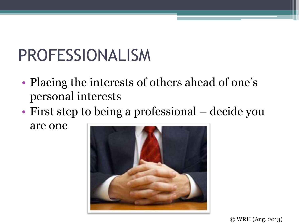## PROFESSIONALISM

- Placing the interests of others ahead of one's personal interests
- First step to being a professional decide you

are one

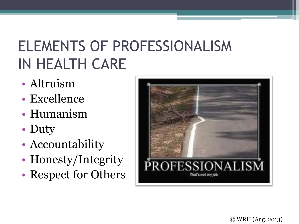### ELEMENTS OF PROFESSIONALISM IN HEALTH CARE

- Altruism
- Excellence
- Humanism
- Duty
- Accountability
- Honesty/Integrity
- Respect for Others

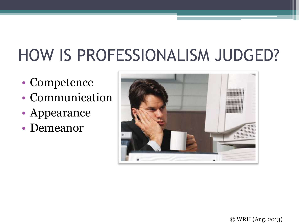# HOW IS PROFESSIONALISM JUDGED?

- Competence
- Communication
- Appearance
- Demeanor

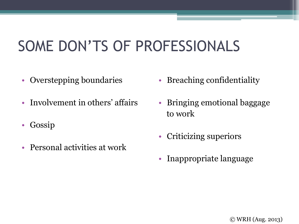### SOME DON'TS OF PROFESSIONALS

- Overstepping boundaries
- Involvement in others' affairs
- Gossip
- Personal activities at work
- Breaching confidentiality
- Bringing emotional baggage to work
- Criticizing superiors
- Inappropriate language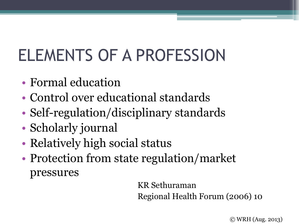# ELEMENTS OF A PROFESSION

- Formal education
- Control over educational standards
- Self-regulation/disciplinary standards
- Scholarly journal
- Relatively high social status
- Protection from state regulation/market pressures

KR Sethuraman Regional Health Forum (2006) 10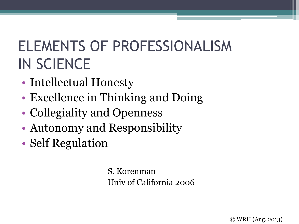### ELEMENTS OF PROFESSIONALISM IN SCIENCE

- Intellectual Honesty
- Excellence in Thinking and Doing
- Collegiality and Openness
- Autonomy and Responsibility
- Self Regulation

S. Korenman Univ of California 2006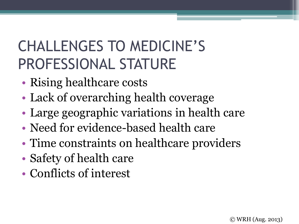### CHALLENGES TO MEDICINE'S PROFESSIONAL STATURE

- Rising healthcare costs
- Lack of overarching health coverage
- Large geographic variations in health care
- Need for evidence-based health care
- Time constraints on healthcare providers
- Safety of health care
- Conflicts of interest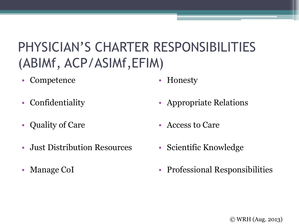#### PHYSICIAN'S CHARTER RESPONSIBILITIES (ABIMf, ACP/ASIMf,EFIM)

- Competence
- Confidentiality
- Quality of Care
- Just Distribution Resources
- Manage CoI
- Honesty
- Appropriate Relations
- Access to Care
- Scientific Knowledge
- Professional Responsibilities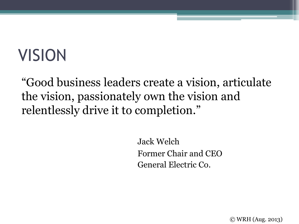# VISION

"Good business leaders create a vision, articulate the vision, passionately own the vision and relentlessly drive it to completion."

> Jack Welch Former Chair and CEO General Electric Co.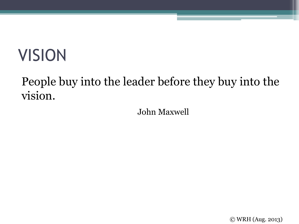# VISION

#### People buy into the leader before they buy into the vision.

John Maxwell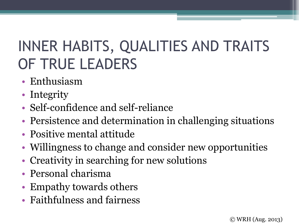### INNER HABITS, QUALITIES AND TRAITS OF TRUE LEADERS

- Enthusiasm
- Integrity
- Self-confidence and self-reliance
- Persistence and determination in challenging situations
- Positive mental attitude
- Willingness to change and consider new opportunities
- Creativity in searching for new solutions
- Personal charisma
- Empathy towards others
- Faithfulness and fairness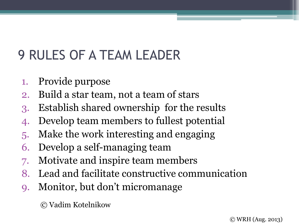#### 9 RULES OF A TEAM LEADER

- 1. Provide purpose
- 2. Build a star team, not a team of stars
- 3. Establish shared ownership for the results
- 4. Develop team members to fullest potential
- 5. Make the work interesting and engaging
- 6. Develop a self-managing team
- 7. Motivate and inspire team members
- 8. Lead and facilitate constructive communication
- 9. Monitor, but don't micromanage

© Vadim Kotelnikow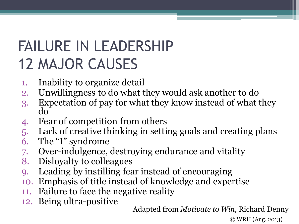### FAILURE IN LEADERSHIP 12 MAJOR CAUSES

- 1. Inability to organize detail
- 2. Unwillingness to do what they would ask another to do
- 3. Expectation of pay for what they know instead of what they do
- 4. Fear of competition from others
- 5. Lack of creative thinking in setting goals and creating plans
- 6. The "I" syndrome
- 7. Over-indulgence, destroying endurance and vitality
- 8. Disloyalty to colleagues
- 9. Leading by instilling fear instead of encouraging
- 10. Emphasis of title instead of knowledge and expertise
- 11. Failure to face the negative reality
- 12. Being ultra-positive

Adapted from *Motivate to Win,* Richard Denny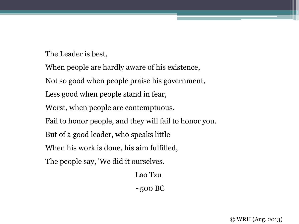The Leader is best,

When people are hardly aware of his existence,

Not so good when people praise his government,

Less good when people stand in fear,

Worst, when people are contemptuous.

Fail to honor people, and they will fail to honor you.

But of a good leader, who speaks little

When his work is done, his aim fulfilled,

The people say, 'We did it ourselves.

Lao Tzu

 $\sim$ 500 BC